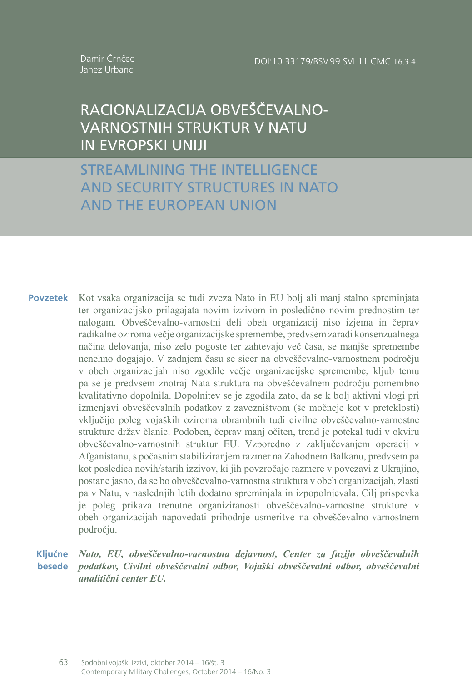Damir Črnčec Janez Urbanc

# RACIONALIZACIJA OBVEŠČEVALNO-VARNOSTNIH STRUKTUR V NATU IN EVROPSKI UNIJI

STREAMLINING THE INTELLIGENCE AND SECURITY STRUCTURES IN NATO AND THE EUROPEAN UNION

Kot vsaka organizacija se tudi zveza Nato in EU bolj ali manj stalno spreminjata ter organizacijsko prilagajata novim izzivom in posledično novim prednostim ter nalogam. Obveščevalno-varnostni deli obeh organizacij niso izjema in čeprav radikalne oziroma večje organizacijske spremembe, predvsem zaradi konsenzualnega načina delovanja, niso zelo pogoste ter zahtevajo več časa, se manjše spremembe nenehno dogajajo. V zadnjem času se sicer na obveščevalno-varnostnem področju v obeh organizacijah niso zgodile večje organizacijske spremembe, kljub temu pa se je predvsem znotraj Nata struktura na obveščevalnem področju pomembno kvalitativno dopolnila. Dopolnitev se je zgodila zato, da se k bolj aktivni vlogi pri izmenjavi obveščevalnih podatkov z zavezništvom (še močneje kot v preteklosti) vključijo poleg vojaških oziroma obrambnih tudi civilne obveščevalno-varnostne strukture držav članic. Podoben, čeprav manj očiten, trend je potekal tudi v okviru obveščevalno-varnostnih struktur EU. Vzporedno z zaključevanjem operacij v Afganistanu, s počasnim stabiliziranjem razmer na Zahodnem Balkanu, predvsem pa kot posledica novih/starih izzivov, ki jih povzročajo razmere v povezavi z Ukrajino, postane jasno, da se bo obveščevalno-varnostna struktura v obeh organizacijah, zlasti pa v Natu, v naslednjih letih dodatno spreminjala in izpopolnjevala. Cilj prispevka je poleg prikaza trenutne organiziranosti obveščevalno-varnostne strukture v obeh organizacijah napovedati prihodnje usmeritve na obveščevalno-varnostnem področju. **Povzetek**

*Nato, EU, obveščevalno-varnostna dejavnost, Center za fuzijo obveščevalnih podatkov, Civilni obveščevalni odbor, Vojaški obveščevalni odbor, obveščevalni*  **besede** *analitični center EU.* **Ključne**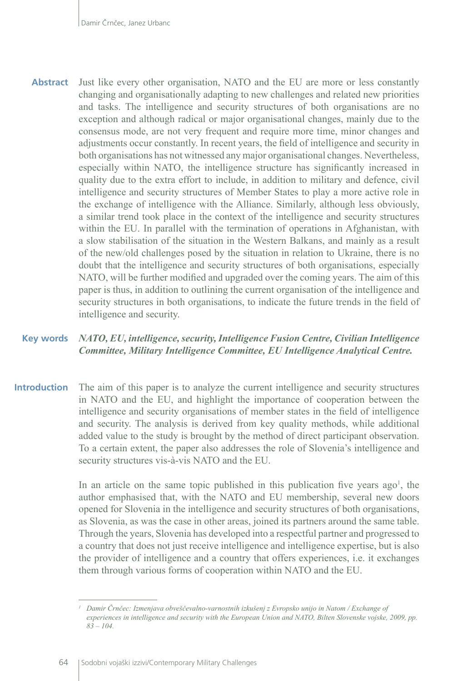**Abstract** Just like every other organisation, NATO and the EU are more or less constantly changing and organisationally adapting to new challenges and related new priorities and tasks. The intelligence and security structures of both organisations are no exception and although radical or major organisational changes, mainly due to the consensus mode, are not very frequent and require more time, minor changes and adjustments occur constantly. In recent years, the field of intelligence and security in both organisations has not witnessed any major organisational changes. Nevertheless, especially within NATO, the intelligence structure has significantly increased in quality due to the extra effort to include, in addition to military and defence, civil intelligence and security structures of Member States to play a more active role in the exchange of intelligence with the Alliance. Similarly, although less obviously, a similar trend took place in the context of the intelligence and security structures within the EU. In parallel with the termination of operations in Afghanistan, with a slow stabilisation of the situation in the Western Balkans, and mainly as a result of the new/old challenges posed by the situation in relation to Ukraine, there is no doubt that the intelligence and security structures of both organisations, especially NATO, will be further modified and upgraded over the coming years. The aim of this paper is thus, in addition to outlining the current organisation of the intelligence and security structures in both organisations, to indicate the future trends in the field of intelligence and security.

#### **Key words** *NATO, EU, intelligence, security, Intelligence Fusion Centre, Civilian Intelligence Committee, Military Intelligence Committee, EU Intelligence Analytical Centre.*

**Introduction** The aim of this paper is to analyze the current intelligence and security structures in NATO and the EU, and highlight the importance of cooperation between the intelligence and security organisations of member states in the field of intelligence and security. The analysis is derived from key quality methods, while additional added value to the study is brought by the method of direct participant observation. To a certain extent, the paper also addresses the role of Slovenia's intelligence and security structures vis-à-vis NATO and the EU.

> In an article on the same topic published in this publication five years  $ago<sup>1</sup>$ , the author emphasised that, with the NATO and EU membership, several new doors opened for Slovenia in the intelligence and security structures of both organisations, as Slovenia, as was the case in other areas, joined its partners around the same table. Through the years, Slovenia has developed into a respectful partner and progressed to a country that does not just receive intelligence and intelligence expertise, but is also the provider of intelligence and a country that offers experiences, i.e. it exchanges them through various forms of cooperation within NATO and the EU.

*<sup>1</sup> Damir Črnčec: Izmenjava obveščevalno-varnostnih izkušenj z Evropsko unijo in Natom / Exchange of experiences in intelligence and security with the European Union and NATO, Bilten Slovenske vojske, 2009, pp. 83 – 104.*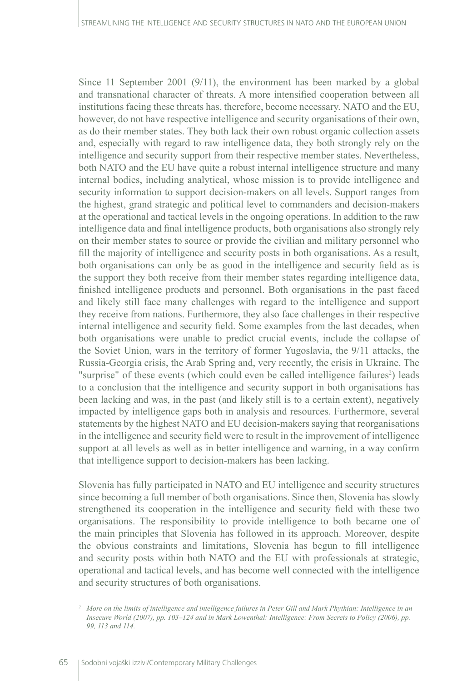Since 11 September 2001 (9/11), the environment has been marked by a global and transnational character of threats. A more intensified cooperation between all institutions facing these threats has, therefore, become necessary. NATO and the EU, however, do not have respective intelligence and security organisations of their own, as do their member states. They both lack their own robust organic collection assets and, especially with regard to raw intelligence data, they both strongly rely on the intelligence and security support from their respective member states. Nevertheless, both NATO and the EU have quite a robust internal intelligence structure and many internal bodies, including analytical, whose mission is to provide intelligence and security information to support decision-makers on all levels. Support ranges from the highest, grand strategic and political level to commanders and decision-makers at the operational and tactical levels in the ongoing operations. In addition to the raw intelligence data and final intelligence products, both organisations also strongly rely on their member states to source or provide the civilian and military personnel who fill the majority of intelligence and security posts in both organisations. As a result, both organisations can only be as good in the intelligence and security field as is the support they both receive from their member states regarding intelligence data, finished intelligence products and personnel. Both organisations in the past faced and likely still face many challenges with regard to the intelligence and support they receive from nations. Furthermore, they also face challenges in their respective internal intelligence and security field. Some examples from the last decades, when both organisations were unable to predict crucial events, include the collapse of the Soviet Union, wars in the territory of former Yugoslavia, the 9/11 attacks, the Russia-Georgia crisis, the Arab Spring and, very recently, the crisis in Ukraine. The "surprise" of these events (which could even be called intelligence failures<sup>2</sup>) leads to a conclusion that the intelligence and security support in both organisations has been lacking and was, in the past (and likely still is to a certain extent), negatively impacted by intelligence gaps both in analysis and resources. Furthermore, several statements by the highest NATO and EU decision-makers saying that reorganisations in the intelligence and security field were to result in the improvement of intelligence support at all levels as well as in better intelligence and warning, in a way confirm that intelligence support to decision-makers has been lacking.

Slovenia has fully participated in NATO and EU intelligence and security structures since becoming a full member of both organisations. Since then, Slovenia has slowly strengthened its cooperation in the intelligence and security field with these two organisations. The responsibility to provide intelligence to both became one of the main principles that Slovenia has followed in its approach. Moreover, despite the obvious constraints and limitations, Slovenia has begun to fill intelligence and security posts within both NATO and the EU with professionals at strategic, operational and tactical levels, and has become well connected with the intelligence and security structures of both organisations.

<sup>&</sup>lt;sup>2</sup> More on the limits of intelligence and intelligence failures in Peter Gill and Mark Phythian: Intelligence in an *Insecure World (2007), pp. 103–124 and in Mark Lowenthal: Intelligence: From Secrets to Policy (2006), pp. 99, 113 and 114.*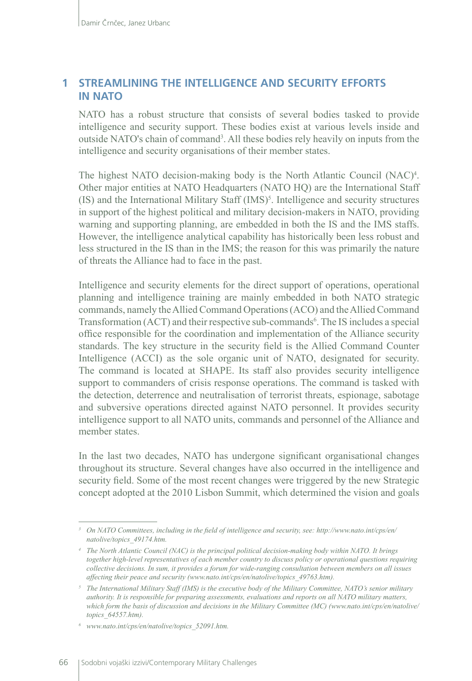## **1 STREAMLINING THE INTELLIGENCE AND SECURITY EFFORTS IN NATO**

NATO has a robust structure that consists of several bodies tasked to provide intelligence and security support. These bodies exist at various levels inside and outside NATO's chain of command<sup>3</sup>. All these bodies rely heavily on inputs from the intelligence and security organisations of their member states.

The highest NATO decision-making body is the North Atlantic Council (NAC)<sup>4</sup>. Other major entities at NATO Headquarters (NATO HQ) are the International Staff  $(IS)$  and the International Military Staff  $(IMS)^5$ . Intelligence and security structures in support of the highest political and military decision-makers in NATO, providing warning and supporting planning, are embedded in both the IS and the IMS staffs. However, the intelligence analytical capability has historically been less robust and less structured in the IS than in the IMS; the reason for this was primarily the nature of threats the Alliance had to face in the past.

Intelligence and security elements for the direct support of operations, operational planning and intelligence training are mainly embedded in both NATO strategic commands, namely the Allied Command Operations (ACO) and the Allied Command Transformation (ACT) and their respective sub-commands<sup>6</sup>. The IS includes a special office responsible for the coordination and implementation of the Alliance security standards. The key structure in the security field is the Allied Command Counter Intelligence (ACCI) as the sole organic unit of NATO, designated for security. The command is located at SHAPE. Its staff also provides security intelligence support to commanders of crisis response operations. The command is tasked with the detection, deterrence and neutralisation of terrorist threats, espionage, sabotage and subversive operations directed against NATO personnel. It provides security intelligence support to all NATO units, commands and personnel of the Alliance and member states.

In the last two decades, NATO has undergone significant organisational changes throughout its structure. Several changes have also occurred in the intelligence and security field. Some of the most recent changes were triggered by the new Strategic concept adopted at the 2010 Lisbon Summit, which determined the vision and goals

*<sup>3</sup> On NATO Committees, including in the field of intelligence and security, see: http://www.nato.int/cps/en/ natolive/topics\_49174.htm.*

*<sup>4</sup> The North Atlantic Council (NAC) is the principal political decision-making body within NATO. It brings together high-level representatives of each member country to discuss policy or operational questions requiring collective decisions. In sum, it provides a forum for wide-ranging consultation between members on all issues affecting their peace and security [\(www.nato.int/cps/en/natolive/topics\\_49763.htm](http://www.nato.int/cps/en/natolive/topics_49763.htm)).*

*<sup>5</sup> The International Military Staff (IMS) is the executive body of the Military Committee, NATO's senior military authority. It is responsible for preparing assessments, evaluations and reports on all NATO military matters, which form the basis of discussion and decisions in the Military Committee (MC) [\(www.nato.int/cps/en/natolive/](http://www.nato.int/cps/en/natolive/topics_64557.htm) [topics\\_64557.htm\)](http://www.nato.int/cps/en/natolive/topics_64557.htm).* 

*<sup>6</sup> [www.nato.int/cps/en/natolive/topics\\_52091.htm.](http://www.nato.int/cps/en/natolive/topics_52091.htm)*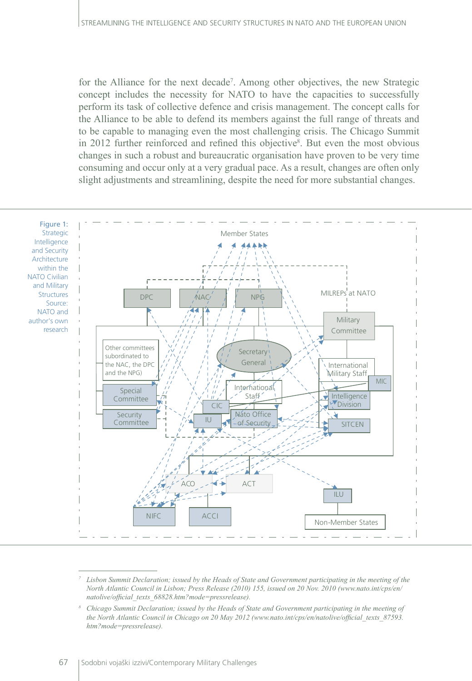for the Alliance for the next decade<sup>7</sup>. Among other objectives, the new Strategic concept includes the necessity for NATO to have the capacities to successfully perform its task of collective defence and crisis management. The concept calls for the Alliance to be able to defend its members against the full range of threats and to be capable to managing even the most challenging crisis. The Chicago Summit in 2012 further reinforced and refined this objective<sup>8</sup>. But even the most obvious changes in such a robust and bureaucratic organisation have proven to be very time consuming and occur only at a very gradual pace. As a result, changes are often only slight adjustments and streamlining, despite the need for more substantial changes.



*<sup>7</sup> Lisbon Summit Declaration; issued by the Heads of State and Government participating in the meeting of the North Atlantic Council in Lisbon; Press Release (2010) 155, issued on 20 Nov. 2010 [\(www.nato.int/cps/en/](http://www.nato.int/cps/en/natolive/official_texts_68828.htm?mode=pressrelease) [natolive/official\\_texts\\_68828.htm?mode=pressrelease](http://www.nato.int/cps/en/natolive/official_texts_68828.htm?mode=pressrelease)).* 

*<sup>8</sup> Chicago Summit Declaration; issued by the Heads of State and Government participating in the meeting of the North Atlantic Council in Chicago on 20 May 2012 ([www.nato.int/cps/en/natolive/official\\_texts\\_87593.](http://www.nato.int/cps/en/natolive/official_texts_87593.htm?mode=pressrelease) [htm?mode=pressrelease](http://www.nato.int/cps/en/natolive/official_texts_87593.htm?mode=pressrelease)).*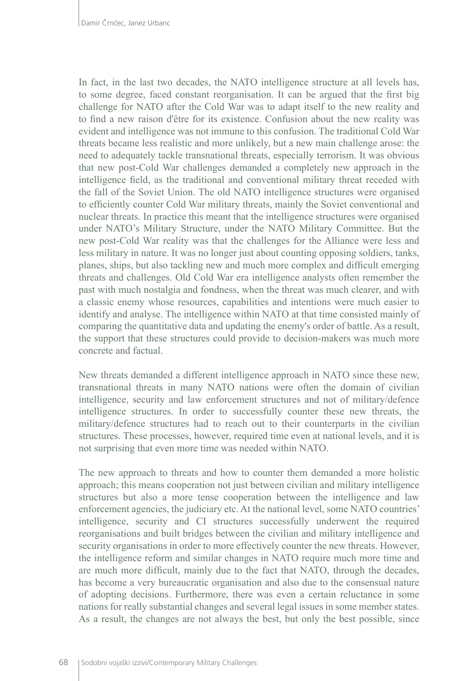In fact, in the last two decades, the NATO intelligence structure at all levels has, to some degree, faced constant reorganisation. It can be argued that the first big challenge for NATO after the Cold War was to adapt itself to the new reality and to find a new raison d'être for its existence. Confusion about the new reality was evident and intelligence was not immune to this confusion. The traditional Cold War threats became less realistic and more unlikely, but a new main challenge arose: the need to adequately tackle transnational threats, especially terrorism. It was obvious that new post-Cold War challenges demanded a completely new approach in the intelligence field, as the traditional and conventional military threat receded with the fall of the Soviet Union. The old NATO intelligence structures were organised to efficiently counter Cold War military threats, mainly the Soviet conventional and nuclear threats. In practice this meant that the intelligence structures were organised under NATO's Military Structure, under the NATO Military Committee. But the new post-Cold War reality was that the challenges for the Alliance were less and less military in nature. It was no longer just about counting opposing soldiers, tanks, planes, ships, but also tackling new and much more complex and difficult emerging threats and challenges. Old Cold War era intelligence analysts often remember the past with much nostalgia and fondness, when the threat was much clearer, and with a classic enemy whose resources, capabilities and intentions were much easier to identify and analyse. The intelligence within NATO at that time consisted mainly of comparing the quantitative data and updating the enemy's order of battle. As a result, the support that these structures could provide to decision-makers was much more concrete and factual.

New threats demanded a different intelligence approach in NATO since these new, transnational threats in many NATO nations were often the domain of civilian intelligence, security and law enforcement structures and not of military/defence intelligence structures. In order to successfully counter these new threats, the military/defence structures had to reach out to their counterparts in the civilian structures. These processes, however, required time even at national levels, and it is not surprising that even more time was needed within NATO.

The new approach to threats and how to counter them demanded a more holistic approach; this means cooperation not just between civilian and military intelligence structures but also a more tense cooperation between the intelligence and law enforcement agencies, the judiciary etc. At the national level, some NATO countries' intelligence, security and CI structures successfully underwent the required reorganisations and built bridges between the civilian and military intelligence and security organisations in order to more effectively counter the new threats. However, the intelligence reform and similar changes in NATO require much more time and are much more difficult, mainly due to the fact that NATO, through the decades, has become a very bureaucratic organisation and also due to the consensual nature of adopting decisions. Furthermore, there was even a certain reluctance in some nations for really substantial changes and several legal issues in some member states. As a result, the changes are not always the best, but only the best possible, since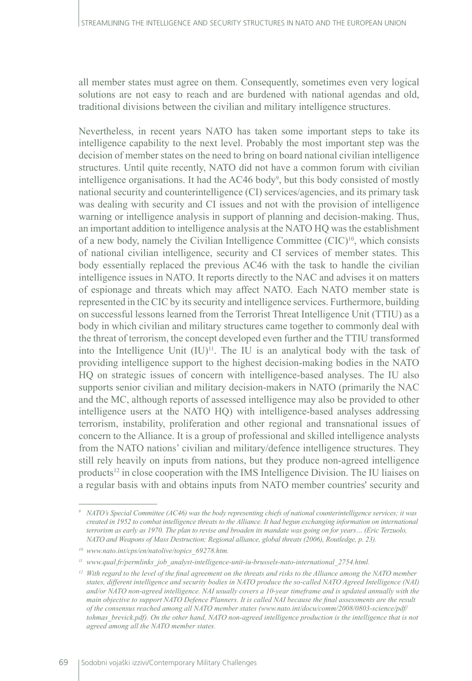all member states must agree on them. Consequently, sometimes even very logical solutions are not easy to reach and are burdened with national agendas and old, traditional divisions between the civilian and military intelligence structures.

Nevertheless, in recent years NATO has taken some important steps to take its intelligence capability to the next level. Probably the most important step was the decision of member states on the need to bring on board national civilian intelligence structures. Until quite recently, NATO did not have a common forum with civilian intelligence organisations. It had the AC46 body<sup>9</sup>, but this body consisted of mostly national security and counterintelligence (CI) services/agencies, and its primary task was dealing with security and CI issues and not with the provision of intelligence warning or intelligence analysis in support of planning and decision-making. Thus, an important addition to intelligence analysis at the NATO HQ was the establishment of a new body, namely the Civilian Intelligence Committee  $(CIC)^{10}$ , which consists of national civilian intelligence, security and CI services of member states. This body essentially replaced the previous AC46 with the task to handle the civilian intelligence issues in NATO. It reports directly to the NAC and advises it on matters of espionage and threats which may affect NATO. Each NATO member state is represented in the CIC by its security and intelligence services. Furthermore, building on successful lessons learned from the Terrorist Threat Intelligence Unit (TTIU) as a body in which civilian and military structures came together to commonly deal with the threat of terrorism, the concept developed even further and the TTIU transformed into the Intelligence Unit  $(IU)^{11}$ . The IU is an analytical body with the task of providing intelligence support to the highest decision-making bodies in the NATO HQ on strategic issues of concern with intelligence-based analyses. The IU also supports senior civilian and military decision-makers in NATO (primarily the NAC and the MC, although reports of assessed intelligence may also be provided to other intelligence users at the NATO HQ) with intelligence-based analyses addressing terrorism, instability, proliferation and other regional and transnational issues of concern to the Alliance. It is a group of professional and skilled intelligence analysts from the NATO nations' civilian and military/defence intelligence structures. They still rely heavily on inputs from nations, but they produce non-agreed intelligence products12 in close cooperation with the IMS Intelligence Division. The IU liaises on a regular basis with and obtains inputs from NATO member countries' security and

*<sup>9</sup> NATO's Special Committee (AC46) was the body representing chiefs of national counterintelligence services; it was created in 1952 to combat intelligence threats to the Alliance. It had begun exchanging information on international terrorism as early as 1970. The plan to revise and broaden its mandate was going on for years… (Eric Terzuolo, NATO and Weapons of Mass Destruction; Regional alliance, global threats (2006), Routledge, p. 23).*

*<sup>10</sup> [www.nato.int/cps/en/natolive/topics\\_69278.htm.](http://www.nato.int/cps/en/natolive/topics_69278.htm)* 

*<sup>11</sup> [www.qual.fr/permlinks\\_job\\_analyst-intelligence-unit-iu-brussels-nato-international\\_2754.html](http://www.qual.fr/permlinks_job_analyst-intelligence-unit-iu-brussels-nato-international_2754.html).*

<sup>&</sup>lt;sup>12</sup> With regard to the level of the final agreement on the threats and risks to the Alliance among the NATO member *states, different intelligence and security bodies in NATO produce the so-called NATO Agreed Intelligence (NAI) and/or NATO non-agreed intelligence. NAI usually covers a 10-year timeframe and is updated annually with the main objective to support NATO Defence Planners. It is called NAI because the final assessments are the result of the consensus reached among all NATO member states [\(www.nato.int/docu/comm/2008/0803-science/pdf/](http://www.nato.int/docu/comm/2008/0803-science/pdf/tohmas_brevick.pdf) [tohmas\\_brevick.pdf](http://www.nato.int/docu/comm/2008/0803-science/pdf/tohmas_brevick.pdf)). On the other hand, NATO non-agreed intelligence production is the intelligence that is not agreed among all the NATO member states.*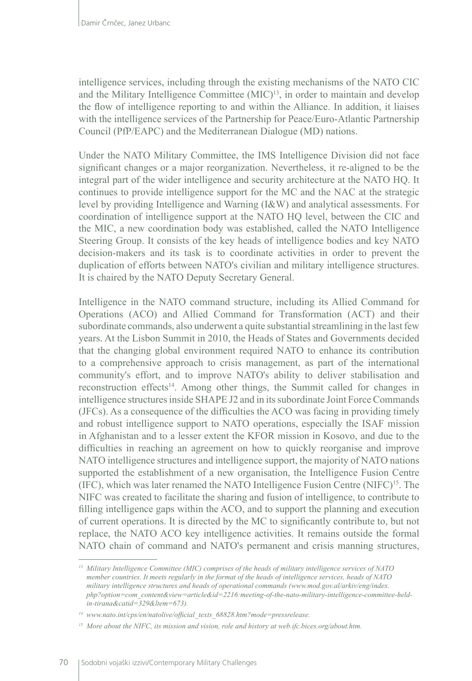intelligence services, including through the existing mechanisms of the NATO CIC and the Military Intelligence Committee (MIC)13, in order to maintain and develop the flow of intelligence reporting to and within the Alliance. In addition, it liaises with the intelligence services of the Partnership for Peace/Euro-Atlantic Partnership Council (PfP/EAPC) and the Mediterranean Dialogue (MD) nations.

Under the NATO Military Committee, the IMS Intelligence Division did not face significant changes or a major reorganization. Nevertheless, it re-aligned to be the integral part of the wider intelligence and security architecture at the NATO HQ. It continues to provide intelligence support for the MC and the NAC at the strategic level by providing Intelligence and Warning (I&W) and analytical assessments. For coordination of intelligence support at the NATO HQ level, between the CIC and the MIC, a new coordination body was established, called the NATO Intelligence Steering Group. It consists of the key heads of intelligence bodies and key NATO decision-makers and its task is to coordinate activities in order to prevent the duplication of efforts between NATO's civilian and military intelligence structures. It is chaired by the NATO Deputy Secretary General.

Intelligence in the NATO command structure, including its Allied Command for Operations (ACO) and Allied Command for Transformation (ACT) and their subordinate commands, also underwent a quite substantial streamlining in the last few years. At the Lisbon Summit in 2010, the Heads of States and Governments decided that the changing global environment required NATO to enhance its contribution to a comprehensive approach to crisis management, as part of the international community's effort, and to improve NATO's ability to deliver stabilisation and reconstruction effects<sup>14</sup>. Among other things, the Summit called for changes in intelligence structures inside SHAPE J2 and in its subordinate Joint Force Commands (JFCs). As a consequence of the difficulties the ACO was facing in providing timely and robust intelligence support to NATO operations, especially the ISAF mission in Afghanistan and to a lesser extent the KFOR mission in Kosovo, and due to the difficulties in reaching an agreement on how to quickly reorganise and improve NATO intelligence structures and intelligence support, the majority of NATO nations supported the establishment of a new organisation, the Intelligence Fusion Centre  $(IFC)$ , which was later renamed the NATO Intelligence Fusion Centre  $(NIFC)^{15}$ . The NIFC was created to facilitate the sharing and fusion of intelligence, to contribute to filling intelligence gaps within the ACO, and to support the planning and execution of current operations. It is directed by the MC to significantly contribute to, but not replace, the NATO ACO key intelligence activities. It remains outside the formal NATO chain of command and NATO's permanent and crisis manning structures,

*<sup>13</sup> Military Intelligence Committee (MIC) comprises of the heads of military intelligence services of NATO member countries. It meets regularly in the format of the heads of intelligence services, heads of NATO military intelligence structures and heads of operational commands ([www.mod.gov.al/arkiv/eng/index.](http://www.mod.gov.al/arkiv/eng/index.php?option=com_content&view=article&id=2216:) [php?option=com\\_content&view=article&id=2216:m](http://www.mod.gov.al/arkiv/eng/index.php?option=com_content&view=article&id=2216:)eeting-of-the-nato-military-intelligence-committee-heldin-tirana&catid=329&ltem=673).* 

*<sup>14</sup> [www.nato.int/cps/en/natolive/official\\_texts\\_68828.htm?mode=pressrelease.](http://www.nato.int/cps/en/natolive/official_texts_68828.htm?mode=pressrelease)*

<sup>&</sup>lt;sup>15</sup> More about the NIFC, its mission and vision, role and history at [web.ifc.bices.org/about.htm.](http://web.ifc.bices.org/about.htm)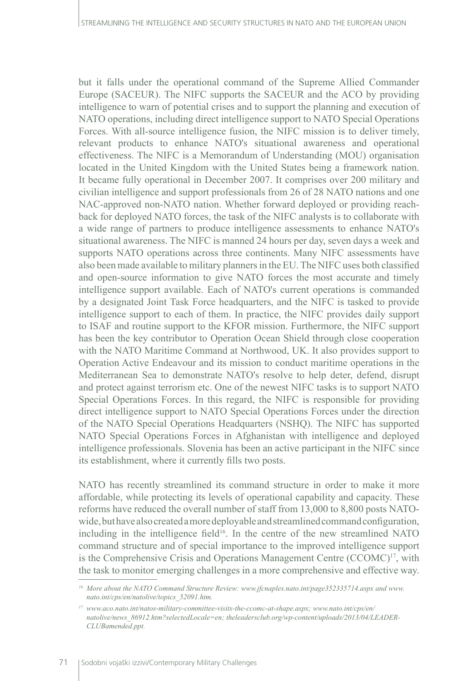but it falls under the operational command of the Supreme Allied Commander Europe (SACEUR). The NIFC supports the SACEUR and the ACO by providing intelligence to warn of potential crises and to support the planning and execution of NATO operations, including direct intelligence support to NATO Special Operations Forces. With all-source intelligence fusion, the NIFC mission is to deliver timely, relevant products to enhance NATO's situational awareness and operational effectiveness. The NIFC is a Memorandum of Understanding (MOU) organisation located in the United Kingdom with the United States being a framework nation. It became fully operational in December 2007. It comprises over 200 military and civilian intelligence and support professionals from 26 of 28 NATO nations and one NAC-approved non-NATO nation. Whether forward deployed or providing reachback for deployed NATO forces, the task of the NIFC analysts is to collaborate with a wide range of partners to produce intelligence assessments to enhance NATO's situational awareness. The NIFC is manned 24 hours per day, seven days a week and supports NATO operations across three continents. Many NIFC assessments have also been made available to military planners in the EU. The NIFC uses both classified and open-source information to give NATO forces the most accurate and timely intelligence support available. Each of NATO's current operations is commanded by a designated Joint Task Force headquarters, and the NIFC is tasked to provide intelligence support to each of them. In practice, the NIFC provides daily support to ISAF and routine support to the KFOR mission. Furthermore, the NIFC support has been the key contributor to Operation Ocean Shield through close cooperation with the NATO Maritime Command at Northwood, UK. It also provides support to Operation Active Endeavour and its mission to conduct maritime operations in the Mediterranean Sea to demonstrate NATO's resolve to help deter, defend, disrupt and protect against terrorism etc. One of the newest NIFC tasks is to support NATO Special Operations Forces. In this regard, the NIFC is responsible for providing direct intelligence support to NATO Special Operations Forces under the direction of the NATO Special Operations Headquarters (NSHQ). The NIFC has supported NATO Special Operations Forces in Afghanistan with intelligence and deployed intelligence professionals. Slovenia has been an active participant in the NIFC since its establishment, where it currently fills two posts.

NATO has recently streamlined its command structure in order to make it more affordable, while protecting its levels of operational capability and capacity. These reforms have reduced the overall number of staff from 13,000 to 8,800 posts NATOwide, but have also created a more deployable and streamlined command configuration, including in the intelligence field<sup>16</sup>. In the centre of the new streamlined NATO command structure and of special importance to the improved intelligence support is the Comprehensive Crisis and Operations Management Centre (CCOMC)17, with the task to monitor emerging challenges in a more comprehensive and effective way.

*<sup>16</sup> More about the NATO Command Structure Review: [www.jfcnaples.nato.int/page352335714.aspx](http://www.jfcnaples.nato.int/page352335714.aspx) and [www.](http://www.nato.int/cps/en/natolive/topics_52091.htm) [nato.int/cps/en/natolive/topics\\_52091.htm](http://www.nato.int/cps/en/natolive/topics_52091.htm).*

*<sup>17</sup> [www.aco.nato.int/natos-military-committee-visits-the-ccomc-at-shape.aspx;](http://www.aco.nato.int/natos-military-committee-visits-the-ccomc-at-shape.aspx) [www.nato.int/cps/en/](http://www.nato.int/cps/en/natolive/news_86912.htm?selectedLocale=en) [natolive/news\\_86912.htm?selectedLocale=en](http://www.nato.int/cps/en/natolive/news_86912.htm?selectedLocale=en); [theleadersclub.org/wp-content/uploads/2013/04/LEADER-](http://theleadersclub.org/wp-content/uploads/2013/04/LEADER-CLUBamended.ppt)[CLUBamended.ppt](http://theleadersclub.org/wp-content/uploads/2013/04/LEADER-CLUBamended.ppt).*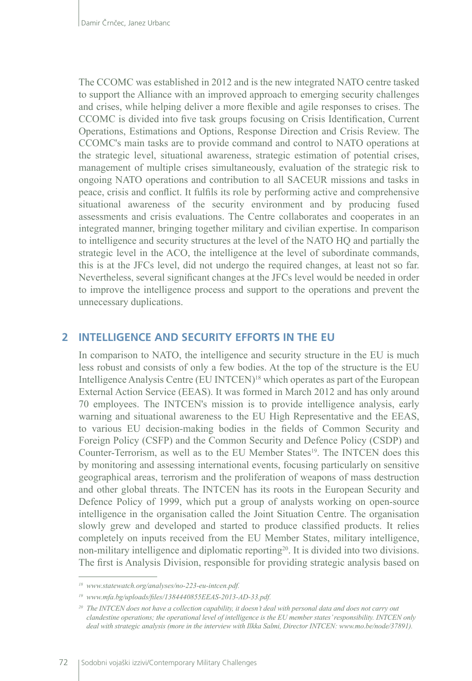The CCOMC was established in 2012 and is the new integrated NATO centre tasked to support the Alliance with an improved approach to emerging security challenges and crises, while helping deliver a more flexible and agile responses to crises. The CCOMC is divided into five task groups focusing on Crisis Identification, Current Operations, Estimations and Options, Response Direction and Crisis Review. The CCOMC's main tasks are to provide command and control to NATO operations at the strategic level, situational awareness, strategic estimation of potential crises, management of multiple crises simultaneously, evaluation of the strategic risk to ongoing NATO operations and contribution to all SACEUR missions and tasks in peace, crisis and conflict. It fulfils its role by performing active and comprehensive situational awareness of the security environment and by producing fused assessments and crisis evaluations. The Centre collaborates and cooperates in an integrated manner, bringing together military and civilian expertise. In comparison to intelligence and security structures at the level of the NATO HQ and partially the strategic level in the ACO, the intelligence at the level of subordinate commands, this is at the JFCs level, did not undergo the required changes, at least not so far. Nevertheless, several significant changes at the JFCs level would be needed in order to improve the intelligence process and support to the operations and prevent the unnecessary duplications.

## **2 INTELLIGENCE AND SECURITY EFFORTS IN THE EU**

In comparison to NATO, the intelligence and security structure in the EU is much less robust and consists of only a few bodies. At the top of the structure is the EU Intelligence Analysis Centre (EU INTCEN)<sup>18</sup> which operates as part of the European External Action Service (EEAS). It was formed in March 2012 and has only around 70 employees. The INTCEN's mission is to provide intelligence analysis, early warning and situational awareness to the EU High Representative and the EEAS, to various EU decision-making bodies in the fields of Common Security and Foreign Policy (CSFP) and the Common Security and Defence Policy (CSDP) and Counter-Terrorism, as well as to the EU Member States<sup>19</sup>. The INTCEN does this by monitoring and assessing international events, focusing particularly on sensitive geographical areas, terrorism and the proliferation of weapons of mass destruction and other global threats. The INTCEN has its roots in the European Security and Defence Policy of 1999, which put a group of analysts working on open-source intelligence in the organisation called the Joint Situation Centre. The organisation slowly grew and developed and started to produce classified products. It relies completely on inputs received from the EU Member States, military intelligence, non-military intelligence and diplomatic reporting<sup>20</sup>. It is divided into two divisions. The first is Analysis Division, responsible for providing strategic analysis based on

*<sup>18</sup> [www.statewatch.org/analyses/no-223-eu-intcen.pdf](http://www.statewatch.org/analyses/no-223-eu-intcen.pdf).*

*<sup>19</sup> [www.mfa.bg/uploads/files/1384440855EEAS-2013-AD-33.pdf](http://www.mfa.bg/uploads/files/1384440855EEAS-2013-AD-33.pdf).* 

*<sup>20</sup> The INTCEN does not have a collection capability, it doesn't deal with personal data and does not carry out clandestine operations; the operational level of intelligence is the EU member states' responsibility. INTCEN only deal with strategic analysis (more in the interview with Ilkka Salmi, Director INTCEN: [www.mo.be/node/37891](http://www.mo.be/node/37891)).*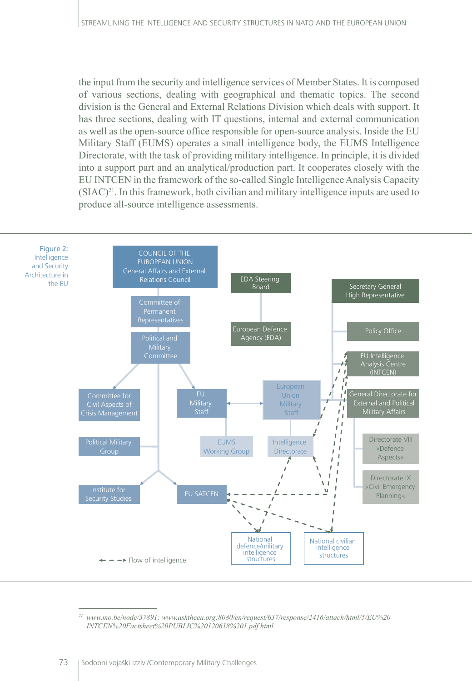the input from the security and intelligence services of Member States. It is composed of various sections, dealing with geographical and thematic topics. The second division is the General and External Relations Division which deals with support. It has three sections, dealing with IT questions, internal and external communication as well as the open-source office responsible for open-source analysis. Inside the EU Military Staff (EUMS) operates a small intelligence body, the EUMS Intelligence Directorate, with the task of providing military intelligence. In principle, it is divided into a support part and an analytical/production part. It cooperates closely with the EU INTCEN in the framework of the so-called Single Intelligence Analysis Capacity  $(SIAC)^{21}$ . In this framework, both civilian and military intelligence inputs are used to produce all-source intelligence assessments.



*<sup>21</sup> [www.mo.be/node/37891](http://www.mo.be/node/37891); [www.asktheeu.org](http://www.asktheeu.org):8080/en/request/637/response/2416/attach/html/5/EU%20 INTCEN%20Factsheet%20PUBLIC%20120618%201.pdf.html.*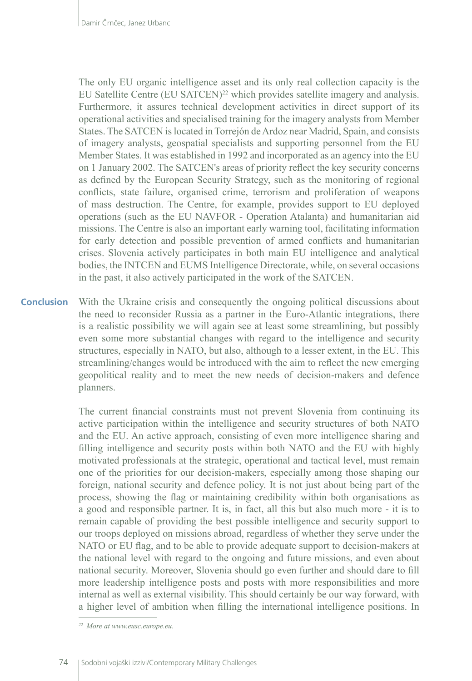The only EU organic intelligence asset and its only real collection capacity is the EU Satellite Centre (EU SATCEN)<sup>22</sup> which provides satellite imagery and analysis. Furthermore, it assures technical development activities in direct support of its operational activities and specialised training for the imagery analysts from Member States. The SATCEN is located in Torrejón de Ardoz near Madrid, Spain, and consists of imagery analysts, geospatial specialists and supporting personnel from the EU Member States. It was established in 1992 and incorporated as an agency into the EU on 1 January 2002. The SATCEN's areas of priority reflect the key security concerns as defined by the European Security Strategy, such as the monitoring of regional conflicts, state failure, organised crime, terrorism and proliferation of weapons of mass destruction. The Centre, for example, provides support to EU deployed operations (such as the EU NAVFOR - Operation Atalanta) and humanitarian aid missions. The Centre is also an important early warning tool, facilitating information for early detection and possible prevention of armed conflicts and humanitarian crises. Slovenia actively participates in both main EU intelligence and analytical bodies, the INTCEN and EUMS Intelligence Directorate, while, on several occasions in the past, it also actively participated in the work of the SATCEN.

With the Ukraine crisis and consequently the ongoing political discussions about the need to reconsider Russia as a partner in the Euro-Atlantic integrations, there is a realistic possibility we will again see at least some streamlining, but possibly even some more substantial changes with regard to the intelligence and security structures, especially in NATO, but also, although to a lesser extent, in the EU. This streamlining/changes would be introduced with the aim to reflect the new emerging geopolitical reality and to meet the new needs of decision-makers and defence planners. **Conclusion**

> The current financial constraints must not prevent Slovenia from continuing its active participation within the intelligence and security structures of both NATO and the EU. An active approach, consisting of even more intelligence sharing and filling intelligence and security posts within both NATO and the EU with highly motivated professionals at the strategic, operational and tactical level, must remain one of the priorities for our decision-makers, especially among those shaping our foreign, national security and defence policy. It is not just about being part of the process, showing the flag or maintaining credibility within both organisations as a good and responsible partner. It is, in fact, all this but also much more - it is to remain capable of providing the best possible intelligence and security support to our troops deployed on missions abroad, regardless of whether they serve under the NATO or EU flag, and to be able to provide adequate support to decision-makers at the national level with regard to the ongoing and future missions, and even about national security. Moreover, Slovenia should go even further and should dare to fill more leadership intelligence posts and posts with more responsibilities and more internal as well as external visibility. This should certainly be our way forward, with a higher level of ambition when filling the international intelligence positions. In

*<sup>22</sup> More at [www.eusc.europe.eu.](http://www.eusc.europe.eu)*